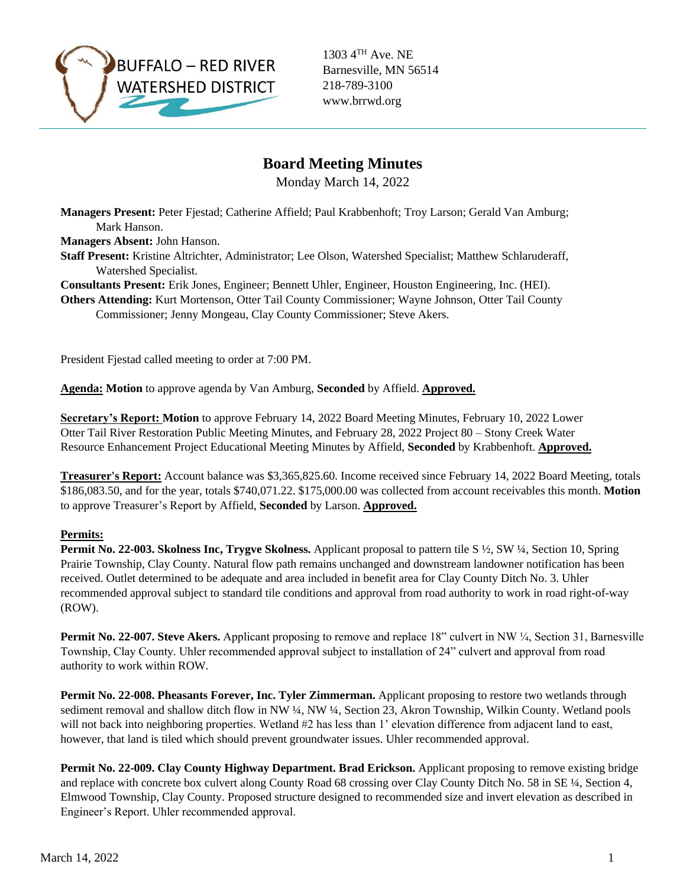

1303 4TH Ave. NE Barnesville, MN 56514 218-789-3100 www.brrwd.org

# **Board Meeting Minutes**

Monday March 14, 2022

**Managers Present:** Peter Fjestad; Catherine Affield; Paul Krabbenhoft; Troy Larson; Gerald Van Amburg; Mark Hanson.

**Managers Absent:** John Hanson.

**Staff Present:** Kristine Altrichter, Administrator; Lee Olson, Watershed Specialist; Matthew Schlaruderaff, Watershed Specialist.

**Consultants Present:** Erik Jones, Engineer; Bennett Uhler, Engineer, Houston Engineering, Inc. (HEI).

**Others Attending:** Kurt Mortenson, Otter Tail County Commissioner; Wayne Johnson, Otter Tail County Commissioner; Jenny Mongeau, Clay County Commissioner; Steve Akers.

President Fjestad called meeting to order at 7:00 PM.

**Agenda: Motion** to approve agenda by Van Amburg, **Seconded** by Affield. **Approved.**

**Secretary's Report: Motion** to approve February 14, 2022 Board Meeting Minutes, February 10, 2022 Lower Otter Tail River Restoration Public Meeting Minutes, and February 28, 2022 Project 80 – Stony Creek Water Resource Enhancement Project Educational Meeting Minutes by Affield, **Seconded** by Krabbenhoft. **Approved.**

**Treasurer's Report:** Account balance was \$3,365,825.60. Income received since February 14, 2022 Board Meeting, totals \$186,083.50, and for the year, totals \$740,071.22. \$175,000.00 was collected from account receivables this month. **Motion**  to approve Treasurer's Report by Affield, **Seconded** by Larson. **Approved.**

#### **Permits:**

**Permit No. 22-003. Skolness Inc, Trygve Skolness.** Applicant proposal to pattern tile S ½, SW ¼, Section 10, Spring Prairie Township, Clay County. Natural flow path remains unchanged and downstream landowner notification has been received. Outlet determined to be adequate and area included in benefit area for Clay County Ditch No. 3. Uhler recommended approval subject to standard tile conditions and approval from road authority to work in road right-of-way (ROW).

**Permit No. 22-007. Steve Akers.** Applicant proposing to remove and replace 18" culvert in NW ¼, Section 31, Barnesville Township, Clay County. Uhler recommended approval subject to installation of 24" culvert and approval from road authority to work within ROW.

**Permit No. 22-008. Pheasants Forever, Inc. Tyler Zimmerman.** Applicant proposing to restore two wetlands through sediment removal and shallow ditch flow in NW ¼, NW ¼, Section 23, Akron Township, Wilkin County. Wetland pools will not back into neighboring properties. Wetland #2 has less than 1' elevation difference from adjacent land to east, however, that land is tiled which should prevent groundwater issues. Uhler recommended approval.

**Permit No. 22-009. Clay County Highway Department. Brad Erickson.** Applicant proposing to remove existing bridge and replace with concrete box culvert along County Road 68 crossing over Clay County Ditch No. 58 in SE ¼, Section 4, Elmwood Township, Clay County. Proposed structure designed to recommended size and invert elevation as described in Engineer's Report. Uhler recommended approval.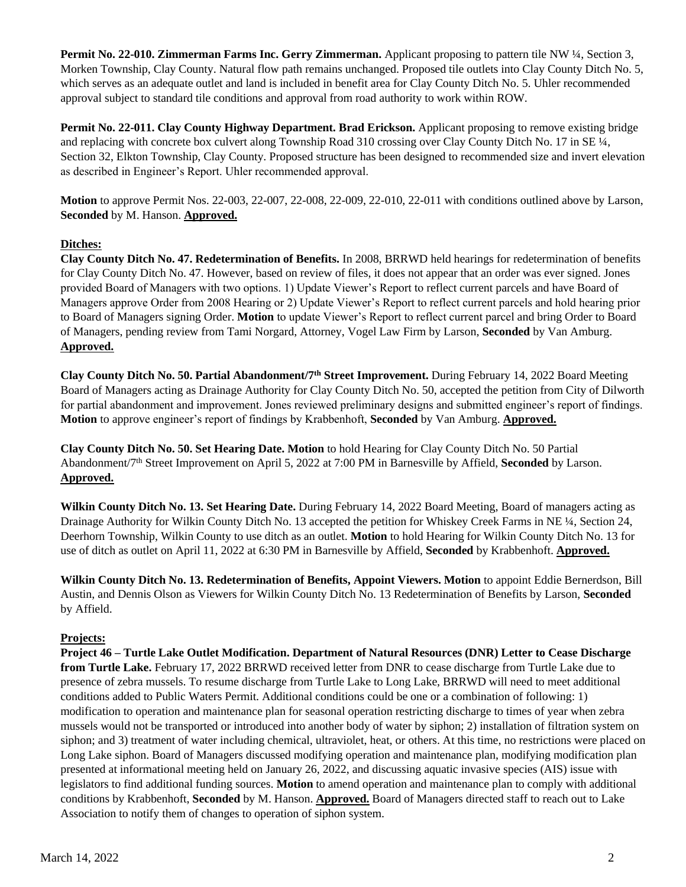**Permit No. 22-010. Zimmerman Farms Inc. Gerry Zimmerman.** Applicant proposing to pattern tile NW ¼, Section 3, Morken Township, Clay County. Natural flow path remains unchanged. Proposed tile outlets into Clay County Ditch No. 5, which serves as an adequate outlet and land is included in benefit area for Clay County Ditch No. 5. Uhler recommended approval subject to standard tile conditions and approval from road authority to work within ROW.

**Permit No. 22-011. Clay County Highway Department. Brad Erickson.** Applicant proposing to remove existing bridge and replacing with concrete box culvert along Township Road 310 crossing over Clay County Ditch No. 17 in SE ¼, Section 32, Elkton Township, Clay County. Proposed structure has been designed to recommended size and invert elevation as described in Engineer's Report. Uhler recommended approval.

**Motion** to approve Permit Nos. 22-003, 22-007, 22-008, 22-009, 22-010, 22-011 with conditions outlined above by Larson, **Seconded** by M. Hanson. **Approved.** 

### **Ditches:**

**Clay County Ditch No. 47. Redetermination of Benefits.** In 2008, BRRWD held hearings for redetermination of benefits for Clay County Ditch No. 47. However, based on review of files, it does not appear that an order was ever signed. Jones provided Board of Managers with two options. 1) Update Viewer's Report to reflect current parcels and have Board of Managers approve Order from 2008 Hearing or 2) Update Viewer's Report to reflect current parcels and hold hearing prior to Board of Managers signing Order. **Motion** to update Viewer's Report to reflect current parcel and bring Order to Board of Managers, pending review from Tami Norgard, Attorney, Vogel Law Firm by Larson, **Seconded** by Van Amburg. **Approved.** 

**Clay County Ditch No. 50. Partial Abandonment/7th Street Improvement.** During February 14, 2022 Board Meeting Board of Managers acting as Drainage Authority for Clay County Ditch No. 50, accepted the petition from City of Dilworth for partial abandonment and improvement. Jones reviewed preliminary designs and submitted engineer's report of findings. **Motion** to approve engineer's report of findings by Krabbenhoft, **Seconded** by Van Amburg. **Approved.** 

**Clay County Ditch No. 50. Set Hearing Date. Motion** to hold Hearing for Clay County Ditch No. 50 Partial Abandonment/7th Street Improvement on April 5, 2022 at 7:00 PM in Barnesville by Affield, **Seconded** by Larson. **Approved.** 

**Wilkin County Ditch No. 13. Set Hearing Date.** During February 14, 2022 Board Meeting, Board of managers acting as Drainage Authority for Wilkin County Ditch No. 13 accepted the petition for Whiskey Creek Farms in NE ¼, Section 24, Deerhorn Township, Wilkin County to use ditch as an outlet. **Motion** to hold Hearing for Wilkin County Ditch No. 13 for use of ditch as outlet on April 11, 2022 at 6:30 PM in Barnesville by Affield, **Seconded** by Krabbenhoft. **Approved.** 

**Wilkin County Ditch No. 13. Redetermination of Benefits, Appoint Viewers. Motion** to appoint Eddie Bernerdson, Bill Austin, and Dennis Olson as Viewers for Wilkin County Ditch No. 13 Redetermination of Benefits by Larson, **Seconded**  by Affield.

## **Projects:**

**Project 46 – Turtle Lake Outlet Modification. Department of Natural Resources (DNR) Letter to Cease Discharge from Turtle Lake.** February 17, 2022 BRRWD received letter from DNR to cease discharge from Turtle Lake due to presence of zebra mussels. To resume discharge from Turtle Lake to Long Lake, BRRWD will need to meet additional conditions added to Public Waters Permit. Additional conditions could be one or a combination of following: 1) modification to operation and maintenance plan for seasonal operation restricting discharge to times of year when zebra mussels would not be transported or introduced into another body of water by siphon; 2) installation of filtration system on siphon; and 3) treatment of water including chemical, ultraviolet, heat, or others. At this time, no restrictions were placed on Long Lake siphon. Board of Managers discussed modifying operation and maintenance plan, modifying modification plan presented at informational meeting held on January 26, 2022, and discussing aquatic invasive species (AIS) issue with legislators to find additional funding sources. **Motion** to amend operation and maintenance plan to comply with additional conditions by Krabbenhoft, **Seconded** by M. Hanson. **Approved.** Board of Managers directed staff to reach out to Lake Association to notify them of changes to operation of siphon system.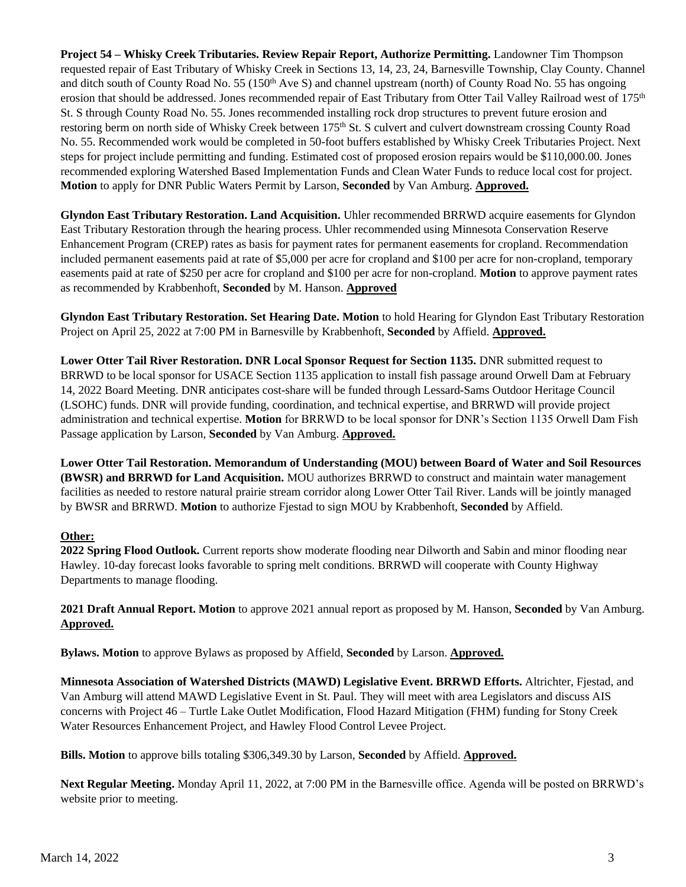**Project 54 – Whisky Creek Tributaries. Review Repair Report, Authorize Permitting.** Landowner Tim Thompson requested repair of East Tributary of Whisky Creek in Sections 13, 14, 23, 24, Barnesville Township, Clay County. Channel and ditch south of County Road No. 55 (150<sup>th</sup> Ave S) and channel upstream (north) of County Road No. 55 has ongoing erosion that should be addressed. Jones recommended repair of East Tributary from Otter Tail Valley Railroad west of 175<sup>th</sup> St. S through County Road No. 55. Jones recommended installing rock drop structures to prevent future erosion and restoring berm on north side of Whisky Creek between 175<sup>th</sup> St. S culvert and culvert downstream crossing County Road No. 55. Recommended work would be completed in 50-foot buffers established by Whisky Creek Tributaries Project. Next steps for project include permitting and funding. Estimated cost of proposed erosion repairs would be \$110,000.00. Jones recommended exploring Watershed Based Implementation Funds and Clean Water Funds to reduce local cost for project. **Motion** to apply for DNR Public Waters Permit by Larson, **Seconded** by Van Amburg. **Approved.** 

**Glyndon East Tributary Restoration. Land Acquisition.** Uhler recommended BRRWD acquire easements for Glyndon East Tributary Restoration through the hearing process. Uhler recommended using Minnesota Conservation Reserve Enhancement Program (CREP) rates as basis for payment rates for permanent easements for cropland. Recommendation included permanent easements paid at rate of \$5,000 per acre for cropland and \$100 per acre for non-cropland, temporary easements paid at rate of \$250 per acre for cropland and \$100 per acre for non-cropland. **Motion** to approve payment rates as recommended by Krabbenhoft, **Seconded** by M. Hanson. **Approved**

**Glyndon East Tributary Restoration. Set Hearing Date. Motion** to hold Hearing for Glyndon East Tributary Restoration Project on April 25, 2022 at 7:00 PM in Barnesville by Krabbenhoft, **Seconded** by Affield. **Approved.** 

**Lower Otter Tail River Restoration. DNR Local Sponsor Request for Section 1135. DNR submitted request to** BRRWD to be local sponsor for USACE Section 1135 application to install fish passage around Orwell Dam at February 14, 2022 Board Meeting. DNR anticipates cost-share will be funded through Lessard-Sams Outdoor Heritage Council (LSOHC) funds. DNR will provide funding, coordination, and technical expertise, and BRRWD will provide project administration and technical expertise. **Motion** for BRRWD to be local sponsor for DNR's Section 1135 Orwell Dam Fish Passage application by Larson, **Seconded** by Van Amburg. **Approved.**

**Lower Otter Tail Restoration. Memorandum of Understanding (MOU) between Board of Water and Soil Resources (BWSR) and BRRWD for Land Acquisition.** MOU authorizes BRRWD to construct and maintain water management facilities as needed to restore natural prairie stream corridor along Lower Otter Tail River. Lands will be jointly managed by BWSR and BRRWD. **Motion** to authorize Fjestad to sign MOU by Krabbenhoft, **Seconded** by Affield.

## **Other:**

**2022 Spring Flood Outlook.** Current reports show moderate flooding near Dilworth and Sabin and minor flooding near Hawley. 10-day forecast looks favorable to spring melt conditions. BRRWD will cooperate with County Highway Departments to manage flooding.

**2021 Draft Annual Report. Motion** to approve 2021 annual report as proposed by M. Hanson, **Seconded** by Van Amburg. **Approved.** 

**Bylaws. Motion** to approve Bylaws as proposed by Affield, **Seconded** by Larson. **Approved.** 

**Minnesota Association of Watershed Districts (MAWD) Legislative Event. BRRWD Efforts.** Altrichter, Fjestad, and Van Amburg will attend MAWD Legislative Event in St. Paul. They will meet with area Legislators and discuss AIS concerns with Project 46 – Turtle Lake Outlet Modification, Flood Hazard Mitigation (FHM) funding for Stony Creek Water Resources Enhancement Project, and Hawley Flood Control Levee Project.

**Bills. Motion** to approve bills totaling \$306,349.30 by Larson, **Seconded** by Affield. **Approved.** 

**Next Regular Meeting.** Monday April 11, 2022, at 7:00 PM in the Barnesville office. Agenda will be posted on BRRWD's website prior to meeting.